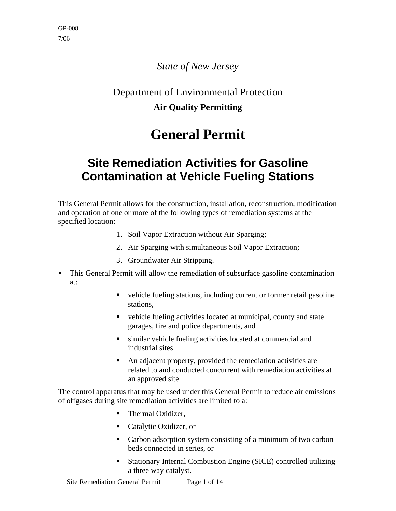# Department of Environmental Protection

### **Air Quality Permitting**

## **General Permit**

### **Site Remediation Activities for Gasoline Contamination at Vehicle Fueling Stations**

This General Permit allows for the construction, installation, reconstruction, modification and operation of one or more of the following types of remediation systems at the specified location:

- 1. Soil Vapor Extraction without Air Sparging;
- 2. Air Sparging with simultaneous Soil Vapor Extraction;
- 3. Groundwater Air Stripping.
- This General Permit will allow the remediation of subsurface gasoline contamination at:
	- vehicle fueling stations, including current or former retail gasoline stations,
	- vehicle fueling activities located at municipal, county and state garages, fire and police departments, and
	- similar vehicle fueling activities located at commercial and industrial sites.
	- An adjacent property, provided the remediation activities are related to and conducted concurrent with remediation activities at an approved site.

The control apparatus that may be used under this General Permit to reduce air emissions of offgases during site remediation activities are limited to a:

- Thermal Oxidizer.
- Catalytic Oxidizer, or
- Carbon adsorption system consisting of a minimum of two carbon beds connected in series, or
- Stationary Internal Combustion Engine (SICE) controlled utilizing a three way catalyst.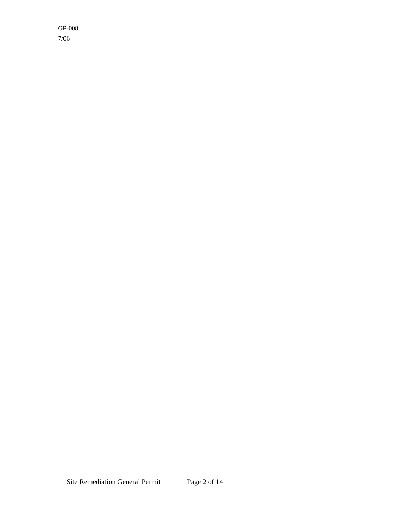GP-008 7/06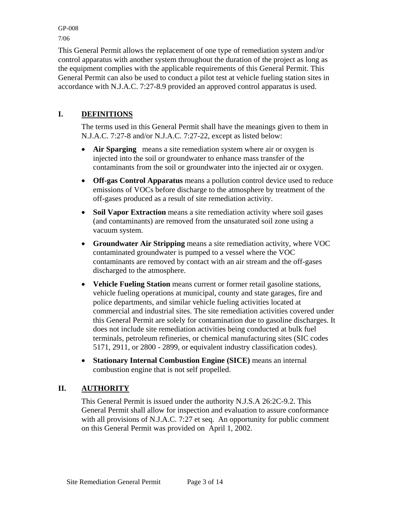GP-008 7/06

This General Permit allows the replacement of one type of remediation system and/or control apparatus with another system throughout the duration of the project as long as the equipment complies with the applicable requirements of this General Permit. This General Permit can also be used to conduct a pilot test at vehicle fueling station sites in accordance with N.J.A.C. 7:27-8.9 provided an approved control apparatus is used.

#### **I. DEFINITIONS**

The terms used in this General Permit shall have the meanings given to them in N.J.A.C. 7:27-8 and/or N.J.A.C. 7:27-22, except as listed below:

- **Air Sparging** means a site remediation system where air or oxygen is injected into the soil or groundwater to enhance mass transfer of the contaminants from the soil or groundwater into the injected air or oxygen.
- **Off-gas Control Apparatus** means a pollution control device used to reduce emissions of VOCs before discharge to the atmosphere by treatment of the off-gases produced as a result of site remediation activity.
- **Soil Vapor Extraction** means a site remediation activity where soil gases (and contaminants) are removed from the unsaturated soil zone using a vacuum system.
- **Groundwater Air Stripping** means a site remediation activity, where VOC contaminated groundwater is pumped to a vessel where the VOC contaminants are removed by contact with an air stream and the off-gases discharged to the atmosphere.
- **Vehicle Fueling Station** means current or former retail gasoline stations, vehicle fueling operations at municipal, county and state garages, fire and police departments, and similar vehicle fueling activities located at commercial and industrial sites. The site remediation activities covered under this General Permit are solely for contamination due to gasoline discharges. It does not include site remediation activities being conducted at bulk fuel terminals, petroleum refineries, or chemical manufacturing sites (SIC codes 5171, 2911, or 2800 - 2899, or equivalent industry classification codes).
- **Stationary Internal Combustion Engine (SICE)** means an internal combustion engine that is not self propelled.

#### **II. AUTHORITY**

This General Permit is issued under the authority N.J.S.A 26:2C-9.2. This General Permit shall allow for inspection and evaluation to assure conformance with all provisions of N.J.A.C. 7:27 et seq. An opportunity for public comment on this General Permit was provided on April 1, 2002.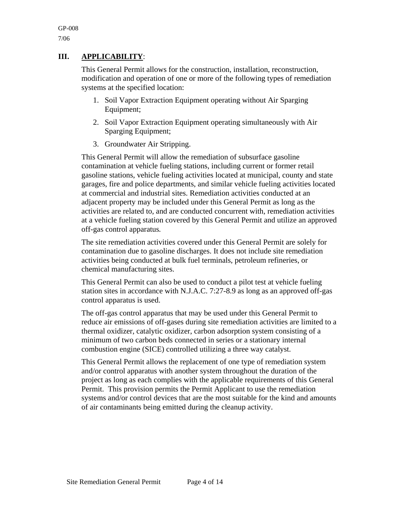#### **III. APPLICABILITY**:

This General Permit allows for the construction, installation, reconstruction, modification and operation of one or more of the following types of remediation systems at the specified location:

- 1. Soil Vapor Extraction Equipment operating without Air Sparging Equipment;
- 2. Soil Vapor Extraction Equipment operating simultaneously with Air Sparging Equipment;
- 3. Groundwater Air Stripping.

This General Permit will allow the remediation of subsurface gasoline contamination at vehicle fueling stations, including current or former retail gasoline stations, vehicle fueling activities located at municipal, county and state garages, fire and police departments, and similar vehicle fueling activities located at commercial and industrial sites. Remediation activities conducted at an adjacent property may be included under this General Permit as long as the activities are related to, and are conducted concurrent with, remediation activities at a vehicle fueling station covered by this General Permit and utilize an approved off-gas control apparatus*.* 

The site remediation activities covered under this General Permit are solely for contamination due to gasoline discharges. It does not include site remediation activities being conducted at bulk fuel terminals, petroleum refineries, or chemical manufacturing sites.

This General Permit can also be used to conduct a pilot test at vehicle fueling station sites in accordance with N.J.A.C. 7:27-8.9 as long as an approved off-gas control apparatus is used.

The off-gas control apparatus that may be used under this General Permit to reduce air emissions of off-gases during site remediation activities are limited to a thermal oxidizer, catalytic oxidizer, carbon adsorption system consisting of a minimum of two carbon beds connected in series or a stationary internal combustion engine (SICE) controlled utilizing a three way catalyst.

This General Permit allows the replacement of one type of remediation system and/or control apparatus with another system throughout the duration of the project as long as each complies with the applicable requirements of this General Permit. This provision permits the Permit Applicant to use the remediation systems and/or control devices that are the most suitable for the kind and amounts of air contaminants being emitted during the cleanup activity.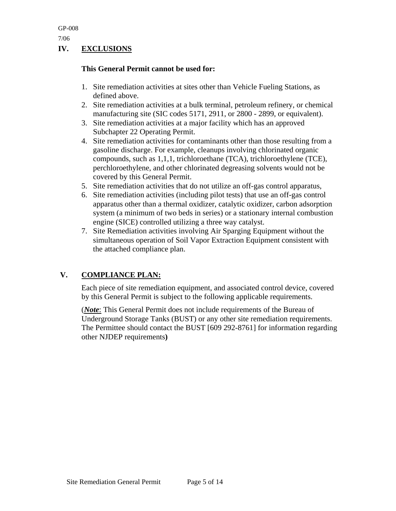7/06

#### **IV. EXCLUSIONS**

#### **This General Permit cannot be used for:**

- 1. Site remediation activities at sites other than Vehicle Fueling Stations, as defined above.
- 2. Site remediation activities at a bulk terminal, petroleum refinery, or chemical manufacturing site (SIC codes 5171, 2911, or 2800 - 2899, or equivalent).
- 3. Site remediation activities at a major facility which has an approved Subchapter 22 Operating Permit.
- 4. Site remediation activities for contaminants other than those resulting from a gasoline discharge. For example, cleanups involving chlorinated organic compounds, such as 1,1,1, trichloroethane (TCA), trichloroethylene (TCE), perchloroethylene, and other chlorinated degreasing solvents would not be covered by this General Permit.
- 5. Site remediation activities that do not utilize an off-gas control apparatus,
- 6. Site remediation activities (including pilot tests) that use an off-gas control apparatus other than a thermal oxidizer, catalytic oxidizer, carbon adsorption system (a minimum of two beds in series) or a stationary internal combustion engine (SICE) controlled utilizing a three way catalyst.
- 7. Site Remediation activities involving Air Sparging Equipment without the simultaneous operation of Soil Vapor Extraction Equipment consistent with the attached compliance plan.

#### **V. COMPLIANCE PLAN:**

Each piece of site remediation equipment, and associated control device, covered by this General Permit is subject to the following applicable requirements.

(*Note*: This General Permit does not include requirements of the Bureau of Underground Storage Tanks (BUST) or any other site remediation requirements. The Permittee should contact the BUST [609 292-8761] for information regarding other NJDEP requirements**)**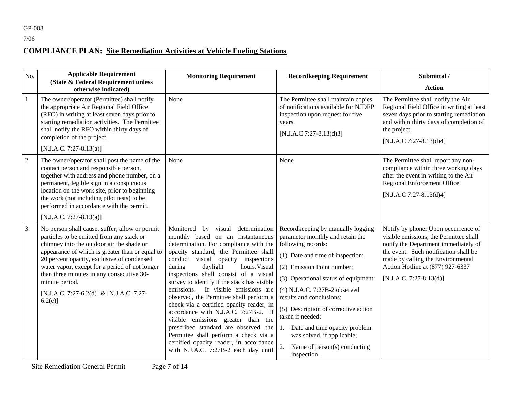#### 7/06

#### **COMPLIANCE PLAN: Site Remediation Activities at Vehicle Fueling Stations**

| No. | <b>Applicable Requirement</b><br>(State & Federal Requirement unless<br>otherwise indicated)                                                                                                                                                                                                                                                                                                                         | <b>Monitoring Requirement</b>                                                                                                                                                                                                                                                                                                                                                                                                                                                                                                                                                                                                                                                                                   | <b>Recordkeeping Requirement</b>                                                                                                                                                                                                                                                                                                                                                                                                                      | Submittal /<br><b>Action</b>                                                                                                                                                                                                                                         |
|-----|----------------------------------------------------------------------------------------------------------------------------------------------------------------------------------------------------------------------------------------------------------------------------------------------------------------------------------------------------------------------------------------------------------------------|-----------------------------------------------------------------------------------------------------------------------------------------------------------------------------------------------------------------------------------------------------------------------------------------------------------------------------------------------------------------------------------------------------------------------------------------------------------------------------------------------------------------------------------------------------------------------------------------------------------------------------------------------------------------------------------------------------------------|-------------------------------------------------------------------------------------------------------------------------------------------------------------------------------------------------------------------------------------------------------------------------------------------------------------------------------------------------------------------------------------------------------------------------------------------------------|----------------------------------------------------------------------------------------------------------------------------------------------------------------------------------------------------------------------------------------------------------------------|
| 1.  | The owner/operator (Permittee) shall notify<br>the appropriate Air Regional Field Office<br>(RFO) in writing at least seven days prior to<br>starting remediation activities. The Permittee<br>shall notify the RFO within thirty days of<br>completion of the project.                                                                                                                                              | None                                                                                                                                                                                                                                                                                                                                                                                                                                                                                                                                                                                                                                                                                                            | The Permittee shall maintain copies<br>of notifications available for NJDEP<br>inspection upon request for five<br>years.<br>[N.J.A.C 7:27-8.13(d)3]                                                                                                                                                                                                                                                                                                  | The Permittee shall notify the Air<br>Regional Field Office in writing at least<br>seven days prior to starting remediation<br>and within thirty days of completion of<br>the project.<br>[N.J.A.C 7:27-8.13(d)4]                                                    |
|     | [N.J.A.C. 7:27-8.13(a)]                                                                                                                                                                                                                                                                                                                                                                                              |                                                                                                                                                                                                                                                                                                                                                                                                                                                                                                                                                                                                                                                                                                                 |                                                                                                                                                                                                                                                                                                                                                                                                                                                       |                                                                                                                                                                                                                                                                      |
| 2.  | The owner/operator shall post the name of the<br>contact person and responsible person,<br>together with address and phone number, on a<br>permanent, legible sign in a conspicuous<br>location on the work site, prior to beginning<br>the work (not including pilot tests) to be                                                                                                                                   | None                                                                                                                                                                                                                                                                                                                                                                                                                                                                                                                                                                                                                                                                                                            | None                                                                                                                                                                                                                                                                                                                                                                                                                                                  | The Permittee shall report any non-<br>compliance within three working days<br>after the event in writing to the Air<br>Regional Enforcement Office.<br>[N.J.A.C 7:27-8.13(d)4]                                                                                      |
|     | performed in accordance with the permit.                                                                                                                                                                                                                                                                                                                                                                             |                                                                                                                                                                                                                                                                                                                                                                                                                                                                                                                                                                                                                                                                                                                 |                                                                                                                                                                                                                                                                                                                                                                                                                                                       |                                                                                                                                                                                                                                                                      |
|     | $[N.J.A.C. 7:27-8.13(a)]$                                                                                                                                                                                                                                                                                                                                                                                            |                                                                                                                                                                                                                                                                                                                                                                                                                                                                                                                                                                                                                                                                                                                 |                                                                                                                                                                                                                                                                                                                                                                                                                                                       |                                                                                                                                                                                                                                                                      |
| 3.  | No person shall cause, suffer, allow or permit<br>particles to be emitted from any stack or<br>chimney into the outdoor air the shade or<br>appearance of which is greater than or equal to<br>20 percent opacity, exclusive of condensed<br>water vapor, except for a period of not longer<br>than three minutes in any consecutive 30-<br>minute period.<br>[N.J.A.C. 7:27-6.2(d)] & [N.J.A.C. 7.27-<br>$6.2(e)$ ] | Monitored by visual determination<br>monthly based on an instantaneous<br>determination. For compliance with the<br>opacity standard, the Permittee shall<br>conduct visual opacity inspections<br>during<br>daylight<br>hours. Visual<br>inspections shall consist of a visual<br>survey to identify if the stack has visible<br>emissions. If visible emissions are<br>observed, the Permittee shall perform a<br>check via a certified opacity reader, in<br>accordance with N.J.A.C. 7:27B-2. If<br>visible emissions greater than the<br>prescribed standard are observed, the<br>Permittee shall perform a check via a<br>certified opacity reader, in accordance<br>with N.J.A.C. 7:27B-2 each day until | Recordkeeping by manually logging<br>parameter monthly and retain the<br>following records:<br>(1) Date and time of inspection;<br>(2) Emission Point number;<br>(3) Operational status of equipment:<br>(4) N.J.A.C. 7:27B-2 observed<br>results and conclusions;<br>(5) Description of corrective action<br>taken if needed;<br>1. Date and time opacity problem<br>was solved, if applicable;<br>2.<br>Name of person(s) conducting<br>inspection. | Notify by phone: Upon occurrence of<br>visible emissions, the Permittee shall<br>notify the Department immediately of<br>the event. Such notification shall be<br>made by calling the Environmental<br>Action Hotline at (877) 927-6337<br>$[N.J.A.C. 7:27-8.13(d)]$ |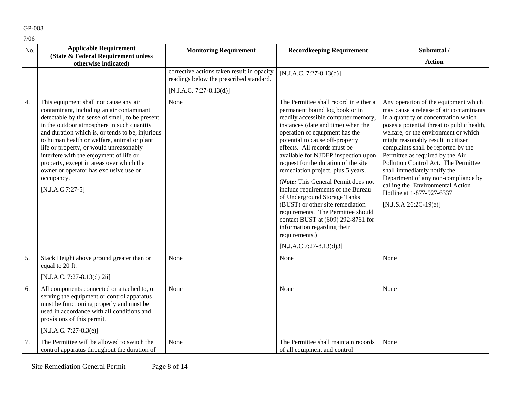|    | (State & Federal Requirement unless                                                                                                                                                                                                                                                                                                                                                                                                                                                                     |                                                                                       | <b>Recordkeeping Requirement</b>                                                                                                                                                                                                                                                                                                                                                                                                                                                                                                                                                                                                                                                         | Submittal /                                                                                                                                                                                                                                                                                                                                                                                                                                                                                                                               |
|----|---------------------------------------------------------------------------------------------------------------------------------------------------------------------------------------------------------------------------------------------------------------------------------------------------------------------------------------------------------------------------------------------------------------------------------------------------------------------------------------------------------|---------------------------------------------------------------------------------------|------------------------------------------------------------------------------------------------------------------------------------------------------------------------------------------------------------------------------------------------------------------------------------------------------------------------------------------------------------------------------------------------------------------------------------------------------------------------------------------------------------------------------------------------------------------------------------------------------------------------------------------------------------------------------------------|-------------------------------------------------------------------------------------------------------------------------------------------------------------------------------------------------------------------------------------------------------------------------------------------------------------------------------------------------------------------------------------------------------------------------------------------------------------------------------------------------------------------------------------------|
|    | otherwise indicated)                                                                                                                                                                                                                                                                                                                                                                                                                                                                                    |                                                                                       |                                                                                                                                                                                                                                                                                                                                                                                                                                                                                                                                                                                                                                                                                          | <b>Action</b>                                                                                                                                                                                                                                                                                                                                                                                                                                                                                                                             |
|    |                                                                                                                                                                                                                                                                                                                                                                                                                                                                                                         | corrective actions taken result in opacity<br>readings below the prescribed standard. | [N.J.A.C. 7:27-8.13(d)]                                                                                                                                                                                                                                                                                                                                                                                                                                                                                                                                                                                                                                                                  |                                                                                                                                                                                                                                                                                                                                                                                                                                                                                                                                           |
|    |                                                                                                                                                                                                                                                                                                                                                                                                                                                                                                         | $[N.J.A.C. 7:27-8.13(d)]$                                                             |                                                                                                                                                                                                                                                                                                                                                                                                                                                                                                                                                                                                                                                                                          |                                                                                                                                                                                                                                                                                                                                                                                                                                                                                                                                           |
| 4. | This equipment shall not cause any air<br>contaminant, including an air contaminant<br>detectable by the sense of smell, to be present<br>in the outdoor atmosphere in such quantity<br>and duration which is, or tends to be, injurious<br>to human health or welfare, animal or plant<br>life or property, or would unreasonably<br>interfere with the enjoyment of life or<br>property, except in areas over which the<br>owner or operator has exclusive use or<br>occupancy.<br>$[N.J.A.C 7:27-5]$ | None                                                                                  | The Permittee shall record in either a<br>permanent bound log book or in<br>readily accessible computer memory,<br>instances (date and time) when the<br>operation of equipment has the<br>potential to cause off-property<br>effects. All records must be<br>available for NJDEP inspection upon<br>request for the duration of the site<br>remediation project, plus 5 years.<br>(Note: This General Permit does not<br>include requirements of the Bureau<br>of Underground Storage Tanks<br>(BUST) or other site remediation<br>requirements. The Permittee should<br>contact BUST at (609) 292-8761 for<br>information regarding their<br>requirements.)<br>[N.J.A.C 7:27-8.13(d)3] | Any operation of the equipment which<br>may cause a release of air contaminants<br>in a quantity or concentration which<br>poses a potential threat to public health,<br>welfare, or the environment or which<br>might reasonably result in citizen<br>complaints shall be reported by the<br>Permittee as required by the Air<br>Pollution Control Act. The Permittee<br>shall immediately notify the<br>Department of any non-compliance by<br>calling the Environmental Action<br>Hotline at 1-877-927-6337<br>$[N.J.S.A 26:2C-19(e)]$ |
| 5. | Stack Height above ground greater than or                                                                                                                                                                                                                                                                                                                                                                                                                                                               | None                                                                                  | None                                                                                                                                                                                                                                                                                                                                                                                                                                                                                                                                                                                                                                                                                     | None                                                                                                                                                                                                                                                                                                                                                                                                                                                                                                                                      |
|    | equal to 20 ft.                                                                                                                                                                                                                                                                                                                                                                                                                                                                                         |                                                                                       |                                                                                                                                                                                                                                                                                                                                                                                                                                                                                                                                                                                                                                                                                          |                                                                                                                                                                                                                                                                                                                                                                                                                                                                                                                                           |
|    | [N.J.A.C. 7:27-8.13(d) 2ii]                                                                                                                                                                                                                                                                                                                                                                                                                                                                             |                                                                                       |                                                                                                                                                                                                                                                                                                                                                                                                                                                                                                                                                                                                                                                                                          |                                                                                                                                                                                                                                                                                                                                                                                                                                                                                                                                           |
| 6. | All components connected or attached to, or<br>serving the equipment or control apparatus<br>must be functioning properly and must be<br>used in accordance with all conditions and<br>provisions of this permit.<br>$[N.J.A.C. 7:27-8.3(e)]$                                                                                                                                                                                                                                                           | None                                                                                  | None                                                                                                                                                                                                                                                                                                                                                                                                                                                                                                                                                                                                                                                                                     | None                                                                                                                                                                                                                                                                                                                                                                                                                                                                                                                                      |
| 7. | The Permittee will be allowed to switch the<br>control apparatus throughout the duration of                                                                                                                                                                                                                                                                                                                                                                                                             | None                                                                                  | The Permittee shall maintain records<br>of all equipment and control                                                                                                                                                                                                                                                                                                                                                                                                                                                                                                                                                                                                                     | None                                                                                                                                                                                                                                                                                                                                                                                                                                                                                                                                      |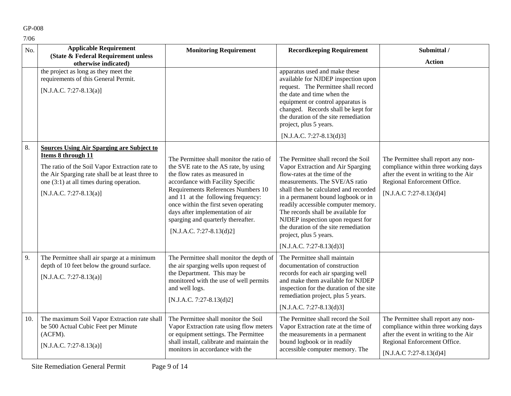| No. | <b>Applicable Requirement</b><br>(State & Federal Requirement unless                                                                                                                                                                                    | <b>Monitoring Requirement</b>                                                                                                                                                                                                                                                                                                                                                      | <b>Recordkeeping Requirement</b>                                                                                                                                                                                                                                                                                                                                                                                                             | Submittal /                                                                                                                                                                       |
|-----|---------------------------------------------------------------------------------------------------------------------------------------------------------------------------------------------------------------------------------------------------------|------------------------------------------------------------------------------------------------------------------------------------------------------------------------------------------------------------------------------------------------------------------------------------------------------------------------------------------------------------------------------------|----------------------------------------------------------------------------------------------------------------------------------------------------------------------------------------------------------------------------------------------------------------------------------------------------------------------------------------------------------------------------------------------------------------------------------------------|-----------------------------------------------------------------------------------------------------------------------------------------------------------------------------------|
|     | otherwise indicated)                                                                                                                                                                                                                                    |                                                                                                                                                                                                                                                                                                                                                                                    |                                                                                                                                                                                                                                                                                                                                                                                                                                              | <b>Action</b>                                                                                                                                                                     |
|     | the project as long as they meet the<br>requirements of this General Permit.<br>[N.J.A.C. 7:27-8.13(a)]                                                                                                                                                 |                                                                                                                                                                                                                                                                                                                                                                                    | apparatus used and make these<br>available for NJDEP inspection upon<br>request. The Permittee shall record<br>the date and time when the<br>equipment or control apparatus is<br>changed. Records shall be kept for<br>the duration of the site remediation<br>project, plus 5 years.<br>[N.J.A.C. 7:27-8.13(d)3]                                                                                                                           |                                                                                                                                                                                   |
| 8.  | <b>Sources Using Air Sparging are Subject to</b><br>Items 8 through 11<br>The ratio of the Soil Vapor Extraction rate to<br>the Air Sparging rate shall be at least three to<br>one $(3:1)$ at all times during operation.<br>$[N.J.A.C. 7:27-8.13(a)]$ | The Permittee shall monitor the ratio of<br>the SVE rate to the AS rate, by using<br>the flow rates as measured in<br>accordance with Facility Specific<br>Requirements References Numbers 10<br>and 11 at the following frequency:<br>once within the first seven operating<br>days after implementation of air<br>sparging and quarterly thereafter.<br>[N.J.A.C. 7:27-8.13(d)2] | The Permittee shall record the Soil<br>Vapor Extraction and Air Sparging<br>flow-rates at the time of the<br>measurements. The SVE/AS ratio<br>shall then be calculated and recorded<br>in a permanent bound logbook or in<br>readily accessible computer memory.<br>The records shall be available for<br>NJDEP inspection upon request for<br>the duration of the site remediation<br>project, plus 5 years.<br>$[N.J.A.C. 7:27-8.13(d)3]$ | The Permittee shall report any non-<br>compliance within three working days<br>after the event in writing to the Air<br>Regional Enforcement Office.<br>[N.J.A.C 7:27-8.13(d)4]   |
| 9.  | The Permittee shall air sparge at a minimum<br>depth of 10 feet below the ground surface.<br>$[N.J.A.C. 7:27-8.13(a)]$                                                                                                                                  | The Permittee shall monitor the depth of<br>the air sparging wells upon request of<br>the Department. This may be<br>monitored with the use of well permits<br>and well logs.<br>[N.J.A.C. 7:27-8.13(d)2]                                                                                                                                                                          | The Permittee shall maintain<br>documentation of construction<br>records for each air sparging well<br>and make them available for NJDEP<br>inspection for the duration of the site<br>remediation project, plus 5 years.<br>[N.J.A.C. 7:27-8.13(d)3]                                                                                                                                                                                        |                                                                                                                                                                                   |
| 10. | The maximum Soil Vapor Extraction rate shall<br>be 500 Actual Cubic Feet per Minute<br>(ACFM).<br>$[N.J.A.C. 7:27-8.13(a)]$                                                                                                                             | The Permittee shall monitor the Soil<br>Vapor Extraction rate using flow meters<br>or equipment settings. The Permittee<br>shall install, calibrate and maintain the<br>monitors in accordance with the                                                                                                                                                                            | The Permittee shall record the Soil<br>Vapor Extraction rate at the time of<br>the measurements in a permanent<br>bound logbook or in readily<br>accessible computer memory. The                                                                                                                                                                                                                                                             | The Permittee shall report any non-<br>compliance within three working days<br>after the event in writing to the Air<br>Regional Enforcement Office.<br>$[N.J.A.C.7:27-8.13(d)4]$ |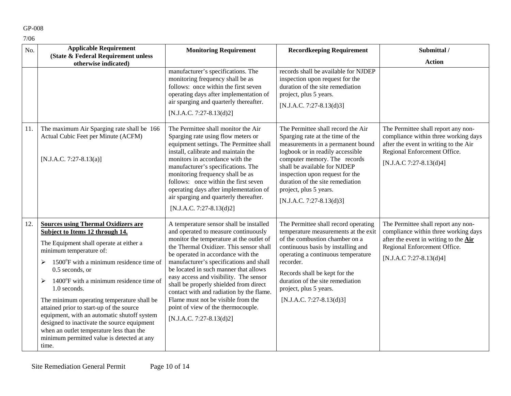| No. | <b>Applicable Requirement</b><br>(State & Federal Requirement unless                                                                                                                                                                                                                                                                                                                                                                                                                                                                                                              | <b>Monitoring Requirement</b>                                                                                                                                                                                                                                                                                                                                                                                                                                                                                                              | <b>Recordkeeping Requirement</b>                                                                                                                                                                                                                                                                                                             | Submittal /                                                                                                                                                                            |
|-----|-----------------------------------------------------------------------------------------------------------------------------------------------------------------------------------------------------------------------------------------------------------------------------------------------------------------------------------------------------------------------------------------------------------------------------------------------------------------------------------------------------------------------------------------------------------------------------------|--------------------------------------------------------------------------------------------------------------------------------------------------------------------------------------------------------------------------------------------------------------------------------------------------------------------------------------------------------------------------------------------------------------------------------------------------------------------------------------------------------------------------------------------|----------------------------------------------------------------------------------------------------------------------------------------------------------------------------------------------------------------------------------------------------------------------------------------------------------------------------------------------|----------------------------------------------------------------------------------------------------------------------------------------------------------------------------------------|
|     | otherwise indicated)                                                                                                                                                                                                                                                                                                                                                                                                                                                                                                                                                              |                                                                                                                                                                                                                                                                                                                                                                                                                                                                                                                                            |                                                                                                                                                                                                                                                                                                                                              | <b>Action</b>                                                                                                                                                                          |
|     |                                                                                                                                                                                                                                                                                                                                                                                                                                                                                                                                                                                   | manufacturer's specifications. The<br>monitoring frequency shall be as<br>follows: once within the first seven<br>operating days after implementation of<br>air sparging and quarterly thereafter.<br>[N.J.A.C. 7:27-8.13(d)2]                                                                                                                                                                                                                                                                                                             | records shall be available for NJDEP<br>inspection upon request for the<br>duration of the site remediation<br>project, plus 5 years.<br>[N.J.A.C. 7:27-8.13(d)3]                                                                                                                                                                            |                                                                                                                                                                                        |
| 11. | The maximum Air Sparging rate shall be 166<br>Actual Cubic Feet per Minute (ACFM)<br>[N.J.A.C. 7:27-8.13(a)]                                                                                                                                                                                                                                                                                                                                                                                                                                                                      | The Permittee shall monitor the Air<br>Sparging rate using flow meters or<br>equipment settings. The Permittee shall<br>install, calibrate and maintain the<br>monitors in accordance with the<br>manufacturer's specifications. The<br>monitoring frequency shall be as<br>follows: once within the first seven<br>operating days after implementation of<br>air sparging and quarterly thereafter.<br>[N.J.A.C. 7:27-8.13(d)2]                                                                                                           | The Permittee shall record the Air<br>Sparging rate at the time of the<br>measurements in a permanent bound<br>logbook or in readily accessible<br>computer memory. The records<br>shall be available for NJDEP<br>inspection upon request for the<br>duration of the site remediation<br>project, plus 5 years.<br>[N.J.A.C. 7:27-8.13(d)3] | The Permittee shall report any non-<br>compliance within three working days<br>after the event in writing to the Air<br>Regional Enforcement Office.<br>[N.J.A.C 7:27-8.13(d)4]        |
| 12. | <b>Sources using Thermal Oxidizers are</b><br>Subject to Items 12 through 14.<br>The Equipment shall operate at either a<br>minimum temperature of:<br>1500°F with a minimum residence time of<br>➤<br>0.5 seconds, or<br>1400°F with a minimum residence time of<br>➤<br>1.0 seconds.<br>The minimum operating temperature shall be<br>attained prior to start-up of the source<br>equipment, with an automatic shutoff system<br>designed to inactivate the source equipment<br>when an outlet temperature less than the<br>minimum permitted value is detected at any<br>time. | A temperature sensor shall be installed<br>and operated to measure continuously<br>monitor the temperature at the outlet of<br>the Thermal Oxidizer. This sensor shall<br>be operated in accordance with the<br>manufacturer's specifications and shall<br>be located in such manner that allows<br>easy access and visibility. The sensor<br>shall be properly shielded from direct<br>contact with and radiation by the flame.<br>Flame must not be visible from the<br>point of view of the thermocouple.<br>$[N.J.A.C. 7:27-8.13(d)2]$ | The Permittee shall record operating<br>temperature measurements at the exit<br>of the combustion chamber on a<br>continuous basis by installing and<br>operating a continuous temperature<br>recorder.<br>Records shall be kept for the<br>duration of the site remediation<br>project, plus 5 years.<br>[N.J.A.C. 7:27-8.13(d)3]           | The Permittee shall report any non-<br>compliance within three working days<br>after the event in writing to the <b>Air</b><br>Regional Enforcement Office.<br>[N.J.A.C 7:27-8.13(d)4] |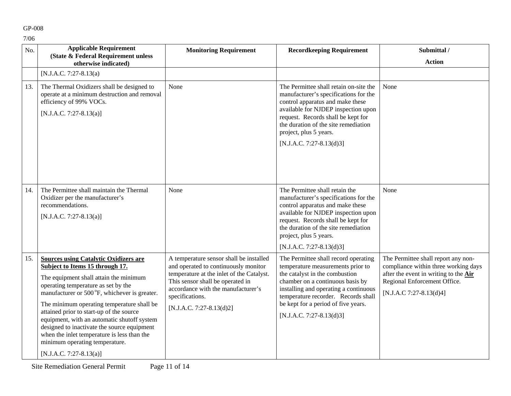| 7/06 |                                                                                                                                                                                                                                                                                                                                                                                                                                                                                                                       |                                                                                                                                                                                                                                                       |                                                                                                                                                                                                                                                                                                    |                                                                                                                                                                                        |
|------|-----------------------------------------------------------------------------------------------------------------------------------------------------------------------------------------------------------------------------------------------------------------------------------------------------------------------------------------------------------------------------------------------------------------------------------------------------------------------------------------------------------------------|-------------------------------------------------------------------------------------------------------------------------------------------------------------------------------------------------------------------------------------------------------|----------------------------------------------------------------------------------------------------------------------------------------------------------------------------------------------------------------------------------------------------------------------------------------------------|----------------------------------------------------------------------------------------------------------------------------------------------------------------------------------------|
| No.  | <b>Applicable Requirement</b><br>(State & Federal Requirement unless                                                                                                                                                                                                                                                                                                                                                                                                                                                  | <b>Monitoring Requirement</b>                                                                                                                                                                                                                         | <b>Recordkeeping Requirement</b>                                                                                                                                                                                                                                                                   | Submittal /<br><b>Action</b>                                                                                                                                                           |
|      | otherwise indicated)                                                                                                                                                                                                                                                                                                                                                                                                                                                                                                  |                                                                                                                                                                                                                                                       |                                                                                                                                                                                                                                                                                                    |                                                                                                                                                                                        |
|      | [N.J.A.C. 7:27-8.13(a)                                                                                                                                                                                                                                                                                                                                                                                                                                                                                                |                                                                                                                                                                                                                                                       |                                                                                                                                                                                                                                                                                                    |                                                                                                                                                                                        |
| 13.  | The Thermal Oxidizers shall be designed to<br>operate at a minimum destruction and removal<br>efficiency of 99% VOCs.<br>[N.J.A.C. 7:27-8.13(a)]                                                                                                                                                                                                                                                                                                                                                                      | None                                                                                                                                                                                                                                                  | The Permittee shall retain on-site the<br>manufacturer's specifications for the<br>control apparatus and make these<br>available for NJDEP inspection upon<br>request. Records shall be kept for<br>the duration of the site remediation<br>project, plus 5 years.<br>[N.J.A.C. 7:27-8.13(d)3]     | None                                                                                                                                                                                   |
| 14.  | The Permittee shall maintain the Thermal<br>Oxidizer per the manufacturer's<br>recommendations.<br>[N.J.A.C. 7:27-8.13(a)]                                                                                                                                                                                                                                                                                                                                                                                            | None                                                                                                                                                                                                                                                  | The Permittee shall retain the<br>manufacturer's specifications for the<br>control apparatus and make these<br>available for NJDEP inspection upon<br>request. Records shall be kept for<br>the duration of the site remediation<br>project, plus 5 years.<br>[N.J.A.C. 7:27-8.13(d)3]             | None                                                                                                                                                                                   |
| 15.  | <b>Sources using Catalytic Oxidizers are</b><br>Subject to Items 15 through 17.<br>The equipment shall attain the minimum<br>operating temperature as set by the<br>manufacturer or 500 °F, whichever is greater.<br>The minimum operating temperature shall be<br>attained prior to start-up of the source<br>equipment, with an automatic shutoff system<br>designed to inactivate the source equipment<br>when the inlet temperature is less than the<br>minimum operating temperature.<br>[N.J.A.C. 7:27-8.13(a)] | A temperature sensor shall be installed<br>and operated to continuously monitor<br>temperature at the inlet of the Catalyst.<br>This sensor shall be operated in<br>accordance with the manufacturer's<br>specifications.<br>[N.J.A.C. 7:27-8.13(d)2] | The Permittee shall record operating<br>temperature measurements prior to<br>the catalyst in the combustion<br>chamber on a continuous basis by<br>installing and operating a continuous<br>temperature recorder. Records shall<br>be kept for a period of five years.<br>[N.J.A.C. 7:27-8.13(d)3] | The Permittee shall report any non-<br>compliance within three working days<br>after the event in writing to the <b>Air</b><br>Regional Enforcement Office.<br>[N.J.A.C 7:27-8.13(d)4] |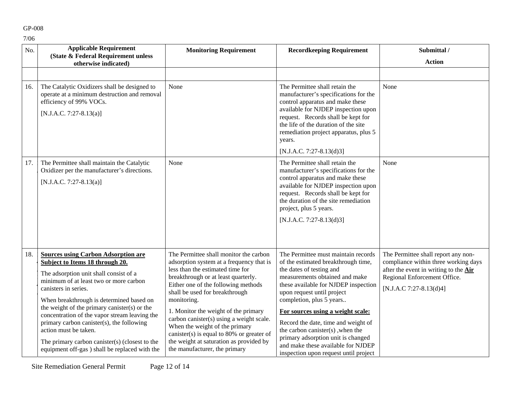| 7/06 |                                                                                                                                                                                                                                                                                                                                                                                                                                                                                                                 |                                                                                                                                                                                                                                                                                                                                                                                                                                                                                                      |                                                                                                                                                                                                                                                                                                                                                                                                                                                                                 |                                                                                                                                                                                        |
|------|-----------------------------------------------------------------------------------------------------------------------------------------------------------------------------------------------------------------------------------------------------------------------------------------------------------------------------------------------------------------------------------------------------------------------------------------------------------------------------------------------------------------|------------------------------------------------------------------------------------------------------------------------------------------------------------------------------------------------------------------------------------------------------------------------------------------------------------------------------------------------------------------------------------------------------------------------------------------------------------------------------------------------------|---------------------------------------------------------------------------------------------------------------------------------------------------------------------------------------------------------------------------------------------------------------------------------------------------------------------------------------------------------------------------------------------------------------------------------------------------------------------------------|----------------------------------------------------------------------------------------------------------------------------------------------------------------------------------------|
| No.  | <b>Applicable Requirement</b><br>(State & Federal Requirement unless                                                                                                                                                                                                                                                                                                                                                                                                                                            | <b>Monitoring Requirement</b>                                                                                                                                                                                                                                                                                                                                                                                                                                                                        | <b>Recordkeeping Requirement</b>                                                                                                                                                                                                                                                                                                                                                                                                                                                | Submittal /<br><b>Action</b>                                                                                                                                                           |
|      | otherwise indicated)                                                                                                                                                                                                                                                                                                                                                                                                                                                                                            |                                                                                                                                                                                                                                                                                                                                                                                                                                                                                                      |                                                                                                                                                                                                                                                                                                                                                                                                                                                                                 |                                                                                                                                                                                        |
| 16.  | The Catalytic Oxidizers shall be designed to<br>operate at a minimum destruction and removal<br>efficiency of 99% VOCs.<br>$[N.J.A.C. 7:27-8.13(a)]$                                                                                                                                                                                                                                                                                                                                                            | None                                                                                                                                                                                                                                                                                                                                                                                                                                                                                                 | The Permittee shall retain the<br>manufacturer's specifications for the<br>control apparatus and make these<br>available for NJDEP inspection upon<br>request. Records shall be kept for<br>the life of the duration of the site<br>remediation project apparatus, plus 5<br>years.<br>[N.J.A.C. 7:27-8.13(d)3]                                                                                                                                                                 | None                                                                                                                                                                                   |
| 17.  | The Permittee shall maintain the Catalytic<br>Oxidizer per the manufacturer's directions.<br>$[N.J.A.C. 7:27-8.13(a)]$                                                                                                                                                                                                                                                                                                                                                                                          | None                                                                                                                                                                                                                                                                                                                                                                                                                                                                                                 | The Permittee shall retain the<br>manufacturer's specifications for the<br>control apparatus and make these<br>available for NJDEP inspection upon<br>request. Records shall be kept for<br>the duration of the site remediation<br>project, plus 5 years.<br>[N.J.A.C. 7:27-8.13(d)3]                                                                                                                                                                                          | None                                                                                                                                                                                   |
| 18.  | <b>Sources using Carbon Adsorption are</b><br>Subject to Items 18 through 20.<br>The adsorption unit shall consist of a<br>minimum of at least two or more carbon<br>canisters in series.<br>When breakthrough is determined based on<br>the weight of the primary canister(s) or the<br>concentration of the vapor stream leaving the<br>primary carbon canister(s), the following<br>action must be taken.<br>The primary carbon canister(s) (closest to the<br>equipment off-gas) shall be replaced with the | The Permittee shall monitor the carbon<br>adsorption system at a frequency that is<br>less than the estimated time for<br>breakthrough or at least quarterly.<br>Either one of the following methods<br>shall be used for breakthrough<br>monitoring.<br>1. Monitor the weight of the primary<br>carbon canister(s) using a weight scale.<br>When the weight of the primary<br>canister(s) is equal to 80% or greater of<br>the weight at saturation as provided by<br>the manufacturer, the primary | The Permittee must maintain records<br>of the estimated breakthrough time,<br>the dates of testing and<br>measurements obtained and make<br>these available for NJDEP inspection<br>upon request until project<br>completion, plus 5 years<br>For sources using a weight scale:<br>Record the date, time and weight of<br>the carbon canister(s), when the<br>primary adsorption unit is changed<br>and make these available for NJDEP<br>inspection upon request until project | The Permittee shall report any non-<br>compliance within three working days<br>after the event in writing to the <b>Air</b><br>Regional Enforcement Office.<br>[N.J.A.C 7:27-8.13(d)4] |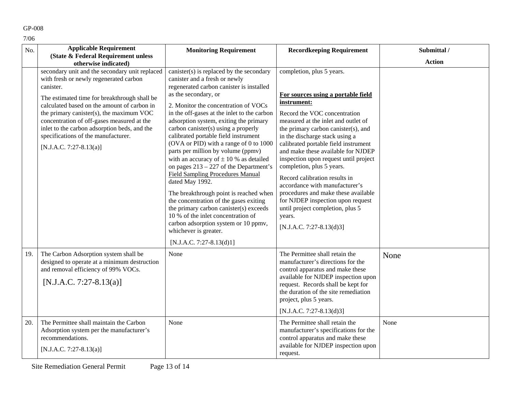| No. | <b>Applicable Requirement</b>                                                                                                                                                                                                                                                                                                                                                                                    | <b>Monitoring Requirement</b>                                                                                                                                                                                                                                                                                                                                                                                                                                                                                                                                                                                                                                                                                                                                                                                                                                            | <b>Recordkeeping Requirement</b>                                                                                                                                                                                                                                                                                                                                                                                                                                                                                                                                                                            | Submittal /   |
|-----|------------------------------------------------------------------------------------------------------------------------------------------------------------------------------------------------------------------------------------------------------------------------------------------------------------------------------------------------------------------------------------------------------------------|--------------------------------------------------------------------------------------------------------------------------------------------------------------------------------------------------------------------------------------------------------------------------------------------------------------------------------------------------------------------------------------------------------------------------------------------------------------------------------------------------------------------------------------------------------------------------------------------------------------------------------------------------------------------------------------------------------------------------------------------------------------------------------------------------------------------------------------------------------------------------|-------------------------------------------------------------------------------------------------------------------------------------------------------------------------------------------------------------------------------------------------------------------------------------------------------------------------------------------------------------------------------------------------------------------------------------------------------------------------------------------------------------------------------------------------------------------------------------------------------------|---------------|
|     | (State & Federal Requirement unless<br>otherwise indicated)                                                                                                                                                                                                                                                                                                                                                      |                                                                                                                                                                                                                                                                                                                                                                                                                                                                                                                                                                                                                                                                                                                                                                                                                                                                          |                                                                                                                                                                                                                                                                                                                                                                                                                                                                                                                                                                                                             | <b>Action</b> |
|     | secondary unit and the secondary unit replaced<br>with fresh or newly regenerated carbon<br>canister.<br>The estimated time for breakthrough shall be<br>calculated based on the amount of carbon in<br>the primary canister(s), the maximum VOC<br>concentration of off-gases measured at the<br>inlet to the carbon adsorption beds, and the<br>specifications of the manufacturer.<br>[N.J.A.C. 7:27-8.13(a)] | canister(s) is replaced by the secondary<br>canister and a fresh or newly<br>regenerated carbon canister is installed<br>as the secondary, or<br>2. Monitor the concentration of VOCs<br>in the off-gases at the inlet to the carbon<br>adsorption system, exiting the primary<br>carbon canister(s) using a properly<br>calibrated portable field instrument<br>(OVA or PID) with a range of 0 to 1000<br>parts per million by volume (ppmv)<br>with an accuracy of $\pm$ 10 % as detailed<br>on pages $213 - 227$ of the Department's<br><b>Field Sampling Procedures Manual</b><br>dated May 1992.<br>The breakthrough point is reached when<br>the concentration of the gases exiting<br>the primary carbon canister(s) exceeds<br>10 % of the inlet concentration of<br>carbon adsorption system or 10 ppmv,<br>whichever is greater.<br>$[N.J.A.C. 7:27-8.13(d)1]$ | completion, plus 5 years.<br>For sources using a portable field<br>instrument:<br>Record the VOC concentration<br>measured at the inlet and outlet of<br>the primary carbon canister(s), and<br>in the discharge stack using a<br>calibrated portable field instrument<br>and make these available for NJDEP<br>inspection upon request until project<br>completion, plus 5 years.<br>Record calibration results in<br>accordance with manufacturer's<br>procedures and make these available<br>for NJDEP inspection upon request<br>until project completion, plus 5<br>years.<br>[N.J.A.C. 7:27-8.13(d)3] |               |
| 19. | The Carbon Adsorption system shall be<br>designed to operate at a minimum destruction<br>and removal efficiency of 99% VOCs.<br>[N.J.A.C. 7:27-8.13(a)]                                                                                                                                                                                                                                                          | None                                                                                                                                                                                                                                                                                                                                                                                                                                                                                                                                                                                                                                                                                                                                                                                                                                                                     | The Permittee shall retain the<br>manufacturer's directions for the<br>control apparatus and make these<br>available for NJDEP inspection upon<br>request. Records shall be kept for<br>the duration of the site remediation<br>project, plus 5 years.<br>[N.J.A.C. 7:27-8.13(d)3]                                                                                                                                                                                                                                                                                                                          | None          |
| 20. | The Permittee shall maintain the Carbon<br>Adsorption system per the manufacturer's<br>recommendations.<br>[N.J.A.C. 7:27-8.13(a)]                                                                                                                                                                                                                                                                               | None                                                                                                                                                                                                                                                                                                                                                                                                                                                                                                                                                                                                                                                                                                                                                                                                                                                                     | The Permittee shall retain the<br>manufacturer's specifications for the<br>control apparatus and make these<br>available for NJDEP inspection upon<br>request.                                                                                                                                                                                                                                                                                                                                                                                                                                              | None          |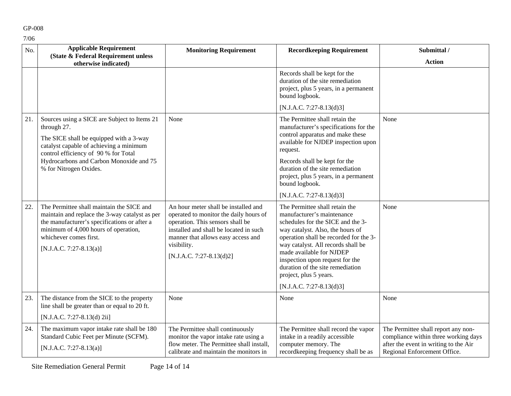| 7/06 |                                                                                                                                                                                                                                          |                                                                                                                                                                                                                                               |                                                                                                                                                                                                                                                                                                                                                                                |                                                                                                                                                      |
|------|------------------------------------------------------------------------------------------------------------------------------------------------------------------------------------------------------------------------------------------|-----------------------------------------------------------------------------------------------------------------------------------------------------------------------------------------------------------------------------------------------|--------------------------------------------------------------------------------------------------------------------------------------------------------------------------------------------------------------------------------------------------------------------------------------------------------------------------------------------------------------------------------|------------------------------------------------------------------------------------------------------------------------------------------------------|
| No.  | <b>Applicable Requirement</b><br>(State & Federal Requirement unless<br>otherwise indicated)                                                                                                                                             | <b>Monitoring Requirement</b>                                                                                                                                                                                                                 | <b>Recordkeeping Requirement</b>                                                                                                                                                                                                                                                                                                                                               | Submittal /<br><b>Action</b>                                                                                                                         |
|      |                                                                                                                                                                                                                                          |                                                                                                                                                                                                                                               | Records shall be kept for the<br>duration of the site remediation<br>project, plus 5 years, in a permanent<br>bound logbook.                                                                                                                                                                                                                                                   |                                                                                                                                                      |
|      |                                                                                                                                                                                                                                          |                                                                                                                                                                                                                                               | [N.J.A.C. 7:27-8.13(d)3]                                                                                                                                                                                                                                                                                                                                                       |                                                                                                                                                      |
| 21.  | Sources using a SICE are Subject to Items 21<br>through 27.<br>The SICE shall be equipped with a 3-way<br>catalyst capable of achieving a minimum<br>control efficiency of 90 % for Total                                                | None                                                                                                                                                                                                                                          | The Permittee shall retain the<br>manufacturer's specifications for the<br>control apparatus and make these<br>available for NJDEP inspection upon<br>request.                                                                                                                                                                                                                 | None                                                                                                                                                 |
|      | Hydrocarbons and Carbon Monoxide and 75<br>% for Nitrogen Oxides.                                                                                                                                                                        |                                                                                                                                                                                                                                               | Records shall be kept for the<br>duration of the site remediation<br>project, plus 5 years, in a permanent<br>bound logbook.                                                                                                                                                                                                                                                   |                                                                                                                                                      |
|      |                                                                                                                                                                                                                                          |                                                                                                                                                                                                                                               | [N.J.A.C. 7:27-8.13(d)3]                                                                                                                                                                                                                                                                                                                                                       |                                                                                                                                                      |
| 22.  | The Permittee shall maintain the SICE and<br>maintain and replace the 3-way catalyst as per<br>the manufacturer's specifications or after a<br>minimum of 4,000 hours of operation,<br>whichever comes first.<br>[N.J.A.C. 7:27-8.13(a)] | An hour meter shall be installed and<br>operated to monitor the daily hours of<br>operation. This sensors shall be<br>installed and shall be located in such<br>manner that allows easy access and<br>visibility.<br>[N.J.A.C. 7:27-8.13(d)2] | The Permittee shall retain the<br>manufacturer's maintenance<br>schedules for the SICE and the 3-<br>way catalyst. Also, the hours of<br>operation shall be recorded for the 3-<br>way catalyst. All records shall be<br>made available for NJDEP<br>inspection upon request for the<br>duration of the site remediation<br>project, plus 5 years.<br>[N.J.A.C. 7:27-8.13(d)3] | None                                                                                                                                                 |
| 23.  |                                                                                                                                                                                                                                          | None                                                                                                                                                                                                                                          | None                                                                                                                                                                                                                                                                                                                                                                           | None                                                                                                                                                 |
|      | The distance from the SICE to the property<br>line shall be greater than or equal to 20 ft.                                                                                                                                              |                                                                                                                                                                                                                                               |                                                                                                                                                                                                                                                                                                                                                                                |                                                                                                                                                      |
|      | [N.J.A.C. 7:27-8.13(d) 2ii]                                                                                                                                                                                                              |                                                                                                                                                                                                                                               |                                                                                                                                                                                                                                                                                                                                                                                |                                                                                                                                                      |
| 24.  | The maximum vapor intake rate shall be 180<br>Standard Cubic Feet per Minute (SCFM).<br>[N.J.A.C. 7:27-8.13(a)]                                                                                                                          | The Permittee shall continuously<br>monitor the vapor intake rate using a<br>flow meter. The Permittee shall install,<br>calibrate and maintain the monitors in                                                                               | The Permittee shall record the vapor<br>intake in a readily accessible<br>computer memory. The<br>recordkeeping frequency shall be as                                                                                                                                                                                                                                          | The Permittee shall report any non-<br>compliance within three working days<br>after the event in writing to the Air<br>Regional Enforcement Office. |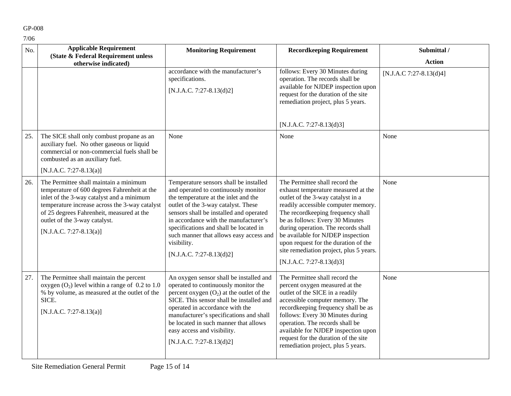| No. | <b>Applicable Requirement</b><br>(State & Federal Requirement unless                                                                                                                                                                                                                           | <b>Monitoring Requirement</b>                                                                                                                                                                                                                                                                                                                                                     | <b>Recordkeeping Requirement</b>                                                                                                                                                                                                                                                                                                                                                                                     | Submittal /             |
|-----|------------------------------------------------------------------------------------------------------------------------------------------------------------------------------------------------------------------------------------------------------------------------------------------------|-----------------------------------------------------------------------------------------------------------------------------------------------------------------------------------------------------------------------------------------------------------------------------------------------------------------------------------------------------------------------------------|----------------------------------------------------------------------------------------------------------------------------------------------------------------------------------------------------------------------------------------------------------------------------------------------------------------------------------------------------------------------------------------------------------------------|-------------------------|
|     | otherwise indicated)                                                                                                                                                                                                                                                                           |                                                                                                                                                                                                                                                                                                                                                                                   |                                                                                                                                                                                                                                                                                                                                                                                                                      | <b>Action</b>           |
|     |                                                                                                                                                                                                                                                                                                | accordance with the manufacturer's<br>specifications.<br>[N.J.A.C. 7:27-8.13(d)2]                                                                                                                                                                                                                                                                                                 | follows: Every 30 Minutes during<br>operation. The records shall be<br>available for NJDEP inspection upon<br>request for the duration of the site<br>remediation project, plus 5 years.<br>[N.J.A.C. 7:27-8.13(d)3]                                                                                                                                                                                                 | [N.J.A.C 7:27-8.13(d)4] |
| 25. | The SICE shall only combust propane as an<br>auxiliary fuel. No other gaseous or liquid<br>commercial or non-commercial fuels shall be<br>combusted as an auxiliary fuel.<br>[N.J.A.C. 7:27-8.13(a)]                                                                                           | None                                                                                                                                                                                                                                                                                                                                                                              | None                                                                                                                                                                                                                                                                                                                                                                                                                 | None                    |
| 26. | The Permittee shall maintain a minimum<br>temperature of 600 degrees Fahrenheit at the<br>inlet of the 3-way catalyst and a minimum<br>temperature increase across the 3-way catalyst<br>of 25 degrees Fahrenheit, measured at the<br>outlet of the 3-way catalyst.<br>[N.J.A.C. 7:27-8.13(a)] | Temperature sensors shall be installed<br>and operated to continuously monitor<br>the temperature at the inlet and the<br>outlet of the 3-way catalyst. These<br>sensors shall be installed and operated<br>in accordance with the manufacturer's<br>specifications and shall be located in<br>such manner that allows easy access and<br>visibility.<br>[N.J.A.C. 7:27-8.13(d)2] | The Permittee shall record the<br>exhaust temperature measured at the<br>outlet of the 3-way catalyst in a<br>readily accessible computer memory.<br>The recordkeeping frequency shall<br>be as follows: Every 30 Minutes<br>during operation. The records shall<br>be available for NJDEP inspection<br>upon request for the duration of the<br>site remediation project, plus 5 years.<br>[N.J.A.C. 7:27-8.13(d)3] | None                    |
| 27. | The Permittee shall maintain the percent<br>oxygen $(O_2)$ level within a range of 0.2 to 1.0<br>% by volume, as measured at the outlet of the<br>SICE.<br>$[N.J.A.C. 7:27-8.13(a)]$                                                                                                           | An oxygen sensor shall be installed and<br>operated to continuously monitor the<br>percent oxygen $(O_2)$ at the outlet of the<br>SICE. This sensor shall be installed and<br>operated in accordance with the<br>manufacturer's specifications and shall<br>be located in such manner that allows<br>easy access and visibility.<br>[N.J.A.C. 7:27-8.13(d)2]                      | The Permittee shall record the<br>percent oxygen measured at the<br>outlet of the SICE in a readily<br>accessible computer memory. The<br>recordkeeping frequency shall be as<br>follows: Every 30 Minutes during<br>operation. The records shall be<br>available for NJDEP inspection upon<br>request for the duration of the site<br>remediation project, plus 5 years.                                            | None                    |